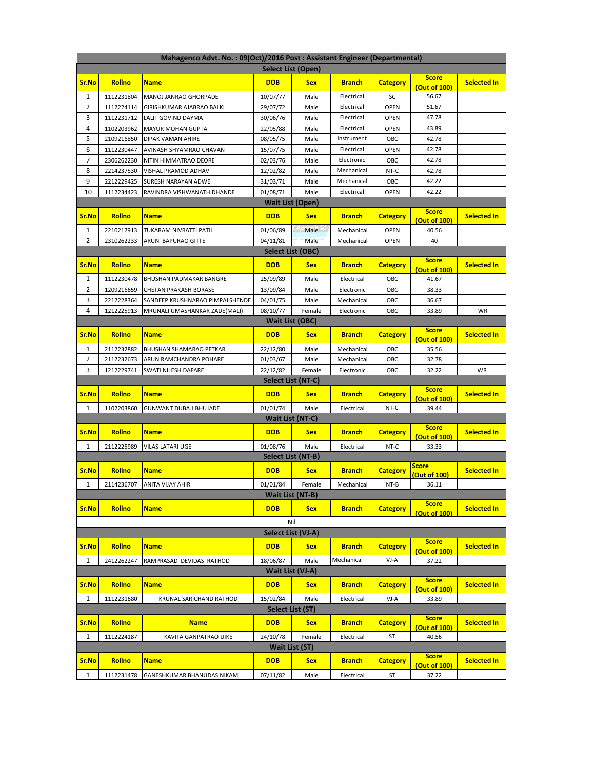| Mahagenco Advt. No.: 09(Oct)/2016 Post: Assistant Engineer (Departmental) |                         |                                 |                        |                           |               |                 |                              |                    |  |  |  |
|---------------------------------------------------------------------------|-------------------------|---------------------------------|------------------------|---------------------------|---------------|-----------------|------------------------------|--------------------|--|--|--|
| Select List (Open)                                                        |                         |                                 |                        |                           |               |                 |                              |                    |  |  |  |
| Sr.No                                                                     | Rollno                  | <b>Name</b>                     | <b>DOB</b>             | <b>Sex</b>                | <b>Branch</b> | <b>Category</b> | <b>Score</b><br>(Out of 100) | <b>Selected In</b> |  |  |  |
| 1                                                                         | 1112231804              | MANOJ JANRAO GHORPADE           | 10/07/77               | Male                      | Electrical    | SC              | 56.67                        |                    |  |  |  |
| 2                                                                         | 1112224114              | GIRISHKUMAR AJABRAO BALKI       | 29/07/72               | Male                      | Electrical    | <b>OPEN</b>     | 51.67                        |                    |  |  |  |
| 3                                                                         | 1112231712              | LALIT GOVIND DAYMA              | 30/06/76               | Male                      | Electrical    | <b>OPEN</b>     | 47.78                        |                    |  |  |  |
| 4                                                                         | 1102203962              | <b>MAYUR MOHAN GUPTA</b>        | 22/05/88               | Male                      | Electrical    | <b>OPEN</b>     | 43.89                        |                    |  |  |  |
| 5                                                                         | 2109216850              | DIPAK VAMAN AHIRE               | 08/05/75               | Male                      | Instrument    | OBC             | 42.78                        |                    |  |  |  |
| 6                                                                         | 1112230447              | AVINASH SHYAMRAO CHAVAN         | 15/07/75               | Male                      | Electrical    | <b>OPEN</b>     | 42.78                        |                    |  |  |  |
| 7                                                                         | 2306262230              | NITIN HIMMATRAO DEORE           | 02/03/76               | Male                      | Electronic    | OBC             | 42.78                        |                    |  |  |  |
| 8                                                                         | 2214237530              | VISHAL PRAMOD ADHAV             | 12/02/82               | Male                      | Mechanical    | NT-C            | 42.78                        |                    |  |  |  |
| 9                                                                         | 2212229425              | SURESH NARAYAN ADWE             | 31/03/71               | Male                      | Mechanical    | OBC             | 42.22                        |                    |  |  |  |
| 10                                                                        | 1112234423              | RAVINDRA VISHWANATH DHANDE      | 01/08/71               | Male                      | Electrical    | <b>OPEN</b>     | 42.22                        |                    |  |  |  |
|                                                                           |                         |                                 |                        | <b>Wait List (Open)</b>   |               |                 |                              |                    |  |  |  |
| <u>Sr.No</u>                                                              | <b>Rollno</b>           | <b>Name</b>                     | <b>DOB</b>             | <b>Sex</b>                | <b>Branch</b> | <b>Category</b> | <b>Score</b><br>(Out of 100) | <b>Selected In</b> |  |  |  |
| 1                                                                         | 2210217913              | TUKARAM NIVRATTI PATIL          | 01/06/89               | Male                      | Mechanical    | <b>OPEN</b>     | 40.56                        |                    |  |  |  |
| 2                                                                         | 2310262233              | ARUN BAPURAO GITTE              | 04/11/81               | Male                      | Mechanical    | <b>OPEN</b>     | 40                           |                    |  |  |  |
|                                                                           |                         |                                 |                        | Select List (OBC)         |               |                 |                              |                    |  |  |  |
| Sr.No                                                                     | Rollno                  | <b>Name</b>                     | <b>DOB</b>             | <b>Sex</b>                | <b>Branch</b> | <b>Category</b> | <b>Score</b>                 | <b>Selected In</b> |  |  |  |
| 1                                                                         | 1112230478              | BHUSHAN PADMAKAR BANGRE         | 25/09/89               | Male                      | Electrical    | OBC             | (Out of 100)<br>41.67        |                    |  |  |  |
| 2                                                                         | 1209216659              | CHETAN PRAKASH BORASE           | 13/09/84               | Male                      | Electronic    | OBC             | 38.33                        |                    |  |  |  |
| 3                                                                         | 2212228364              | SANDEEP KRUSHNARAO PIMPALSHENDE | 04/01/75               | Male                      | Mechanical    | OBC             | 36.67                        |                    |  |  |  |
| 4                                                                         | 1212225913              | MRUNALI UMASHANKAR ZADE(MALI)   | 08/10/77               | Female                    | Electronic    | OBC             | 33.89                        | WR                 |  |  |  |
|                                                                           |                         |                                 | <b>Wait List (OBC)</b> |                           |               |                 |                              |                    |  |  |  |
| Sr.No                                                                     | Rollno                  | <b>Name</b>                     | <b>DOB</b>             | <b>Sex</b>                | <b>Branch</b> | <b>Category</b> | <b>Score</b><br>(Out of 100) | <b>Selected In</b> |  |  |  |
| 1                                                                         | 2112232882              | BHUSHAN SHAMARAO PETKAR         | 22/12/80               | Male                      | Mechanical    | OBC             | 35.56                        |                    |  |  |  |
| 2                                                                         | 2112232673              | ARUN RAMCHANDRA POHARE          | 01/03/67               | Male                      | Mechanical    | OBC             | 32.78                        |                    |  |  |  |
| 3                                                                         | 1212229741              | SWATI NILESH DAFARE             | 22/12/82               | Female                    | Electronic    | ОВС             | 32.22                        | WR                 |  |  |  |
|                                                                           |                         |                                 |                        | Select List (NT-C)        |               |                 |                              |                    |  |  |  |
| Sr.No                                                                     | Rollno                  | <b>Name</b>                     | <b>DOB</b>             | <b>Sex</b>                | <b>Branch</b> | <b>Category</b> | <b>Score</b>                 | <b>Selected In</b> |  |  |  |
| 1                                                                         | 1102203860              | <b>GUNWANT DUBAJI BHUJADE</b>   | 01/01/74               | Male                      | Electrical    | NT-C            | (Out of 100)<br>39.44        |                    |  |  |  |
|                                                                           |                         |                                 |                        | Wait List (NT-C)          |               |                 |                              |                    |  |  |  |
|                                                                           |                         |                                 |                        |                           |               |                 | <b>Score</b>                 |                    |  |  |  |
| Sr.No                                                                     | Rollno                  | <b>Name</b>                     | <b>DOB</b>             | <b>Sex</b>                | <b>Branch</b> | <b>Category</b> | <b>Out of 100)</b>           | <b>Selected In</b> |  |  |  |
| 1                                                                         | 2112225989              | <b>VILAS LATARI UGE</b>         | 01/08/76               | Male                      | Electrical    | NT-C            | 33.33                        |                    |  |  |  |
|                                                                           |                         |                                 |                        | Select List (NT-B)        |               |                 |                              |                    |  |  |  |
| Sr.No                                                                     | Rollno                  | <b>Name</b>                     | <b>DOB</b>             | <b>Sex</b>                | <b>Branch</b> | <b>Category</b> | <u>Score</u><br>(Out of 100) | <b>Selected In</b> |  |  |  |
| 1                                                                         | 2114236707              | <b>ANITA VIJAY AHIR</b>         | 01/01/84               | Female                    | Mechanical    | NT-B            | 36.11                        |                    |  |  |  |
|                                                                           |                         |                                 |                        | <b>Wait List (NT-B)</b>   |               |                 |                              |                    |  |  |  |
| Sr.No                                                                     | Rollno                  | <b>Name</b>                     | <b>DOB</b>             | <b>Sex</b>                | <b>Branch</b> | <b>Category</b> | <b>Score</b><br>(Out of 100) | <b>Selected In</b> |  |  |  |
|                                                                           |                         |                                 |                        | Nil                       |               |                 |                              |                    |  |  |  |
|                                                                           |                         |                                 |                        | <b>Select List (VJ-A)</b> |               |                 |                              |                    |  |  |  |
| Sr.No                                                                     | Rollno                  | <b>Name</b>                     | <b>DOB</b>             | <b>Sex</b>                | <b>Branch</b> | <b>Category</b> | <b>Score</b>                 | <b>Selected In</b> |  |  |  |
|                                                                           |                         |                                 |                        |                           |               |                 | (Out of 100)                 |                    |  |  |  |
| 1                                                                         | 2412262247              | RAMPRASAD DEVIDAS RATHOD        | 18/06/87               | Male                      | Mechanical    | VJ-A            | 37.22                        |                    |  |  |  |
|                                                                           |                         |                                 |                        | <b>Wait List (VJ-A)</b>   |               |                 | <b>Score</b>                 |                    |  |  |  |
| Sr.No                                                                     | <b>Rollno</b>           | <b>Name</b>                     | <b>DOB</b>             | <b>Sex</b>                | <b>Branch</b> | <b>Category</b> | (Out of 100)                 | <b>Selected In</b> |  |  |  |
| $\mathbf{1}$                                                              | 1112231680              | KRUNAL SARICHAND RATHOD         | 15/02/84               | Male                      | Electrical    | VJ-A            | 33.89                        |                    |  |  |  |
|                                                                           | <b>Select List (ST)</b> |                                 |                        |                           |               |                 |                              |                    |  |  |  |
| Sr.No                                                                     | Rollno                  | <b>Name</b>                     | <b>DOB</b>             | <b>Sex</b>                | <b>Branch</b> | <b>Category</b> | <b>Score</b><br>(Out of 100) | <b>Selected In</b> |  |  |  |
| $\mathbf{1}$                                                              | 1112224187              | KAVITA GANPATRAO UIKE           | 24/10/78               | Female                    | Electrical    | ST              | 40.56                        |                    |  |  |  |
| <b>Wait List (ST)</b>                                                     |                         |                                 |                        |                           |               |                 |                              |                    |  |  |  |
| Sr.No                                                                     | Rollno                  | <b>Name</b>                     | <b>DOB</b>             | <b>Sex</b>                | <b>Branch</b> | <b>Category</b> | <b>Score</b>                 | <b>Selected In</b> |  |  |  |
|                                                                           |                         |                                 |                        |                           |               |                 | (Out of 100)                 |                    |  |  |  |
| $\mathbf{1}$                                                              | 1112231478              | GANESHKUMAR BHANUDAS NIKAM      | 07/11/82               | Male                      | Electrical    | ST              | 37.22                        |                    |  |  |  |